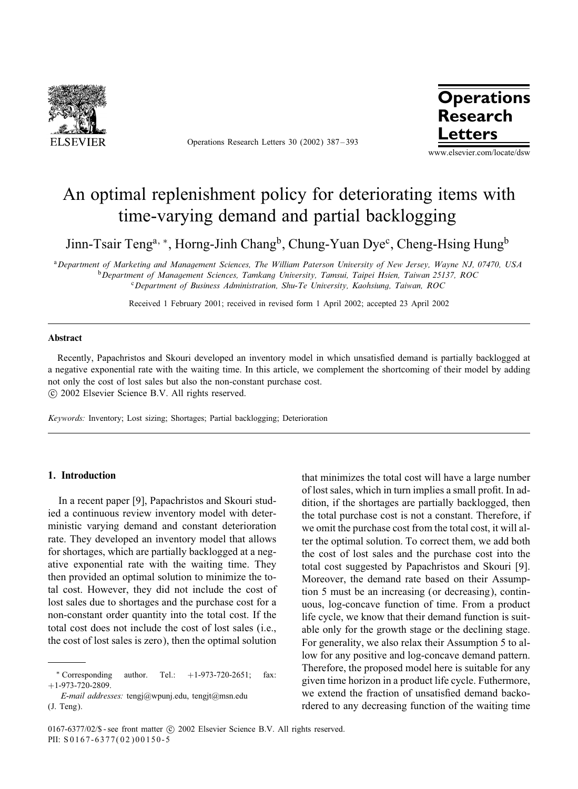

Operations Research Letters 30 (2002) 387 – 393



# An optimal replenishment policy for deteriorating items with time-varying demand and partial backlogging

Jinn-Tsair Teng<sup>a, \*</sup>, Horng-Jinh Chang<sup>b</sup>, Chung-Yuan Dye<sup>c</sup>, Cheng-Hsing Hung<sup>b</sup>

<sup>a</sup>*Department of Marketing and Management Sciences, The William Paterson University of New Jersey, Wayne NJ, 07470, USA* <sup>b</sup>*Department of Management Sciences, Tamkang University, Tamsui, Taipei Hsien, Taiwan 25137, ROC* <sup>c</sup>*Department of Business Administration, Shu-Te University, Kaohsiung, Taiwan, ROC*

Received 1 February 2001; received in revised form 1 April 2002; accepted 23 April 2002

## Abstract

Recently, Papachristos and Skouri developed an inventory model in which unsatisfied demand is partially backlogged at a negative exponential rate with the waiting time. In this article, we complement the shortcoming of their model byadding not onlythe cost of lost sales but also the non-constant purchase cost. -c 2002 Elsevier Science B.V. All rights reserved.

*Keywords:* Inventory; Lost sizing; Shortages; Partial backlogging; Deterioration

# 1. Introduction

In a recent paper [9], Papachristos and Skouri studied a continuous review inventory model with deterministic varying demand and constant deterioration rate. They developed an inventory model that allows for shortages, which are partially backlogged at a negative exponential rate with the waiting time. They then provided an optimal solution to minimize the total cost. However, they did not include the cost of lost sales due to shortages and the purchase cost for a non-constant order quantity into the total cost. If the total cost does not include the cost of lost sales (i.e., the cost of lost sales is zero), then the optimal solution

*E-mail addresses:* tengj@wpunj.edu, tengjt@msn.edu (J. Teng).

that minimizes the total cost will have a large number of lost sales, which in turn implies a small profit. In addition, if the shortages are partially backlogged, then the total purchase cost is not a constant. Therefore, if we omit the purchase cost from the total cost, it will alter the optimal solution. To correct them, we add both the cost of lost sales and the purchase cost into the total cost suggested by Papachristos and Skouri [9]. Moreover, the demand rate based on their Assumption 5 must be an increasing (or decreasing), continuous, log-concave function of time. From a product life cycle, we know that their demand function is suitable only for the growth stage or the declining stage. For generality, we also relax their Assumption 5 to allow for any positive and log-concave demand pattern. Therefore, the proposed model here is suitable for any given time horizon in a product life cycle. Futhermore, we extend the fraction of unsatisfied demand backordered to any decreasing function of the waiting time

<sup>∗</sup> Corresponding author. Tel.: +1-973-720-2651; fax:  $+1-973-720-2809.$ 

 $0167-6377/02$ /\$ - see front matter  $\circ$  2002 Elsevier Science B.V. All rights reserved. PII: S 0167-6377(02)00150-5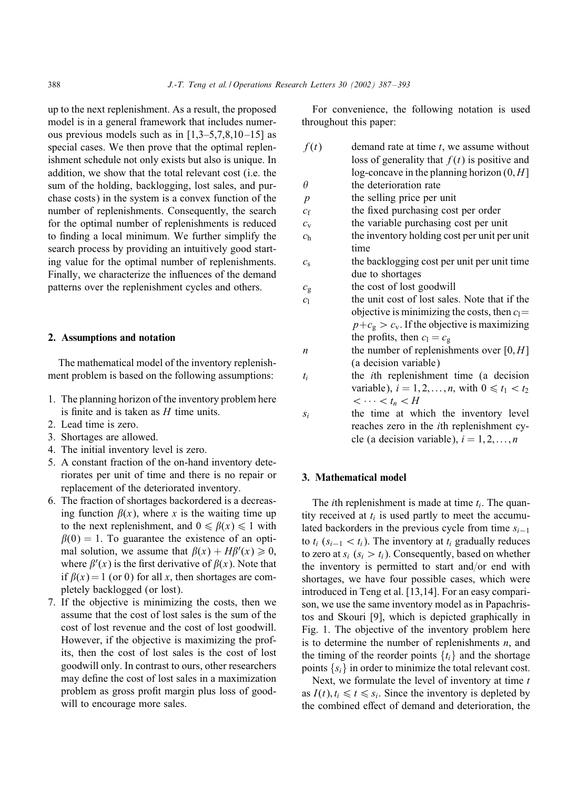up to the next replenishment. As a result, the proposed model is in a general framework that includes numerous previous models such as in  $[1,3-5,7,8,10-15]$  as special cases. We then prove that the optimal replenishment schedule not only exists but also is unique. In addition, we show that the total relevant cost (i.e. the sum of the holding, backlogging, lost sales, and purchase costs) in the system is a convex function of the number of replenishments. Consequently, the search for the optimal number of replenishments is reduced to finding a local minimum. We further simplify the search process by providing an intuitively good starting value for the optimal number of replenishments. Finally, we characterize the inFuences of the demand patterns over the replenishment cycles and others.

# 2. Assumptions and notation

The mathematical model of the inventory replenishment problem is based on the following assumptions:

- 1. The planning horizon of the inventory problem here is finite and is taken as  $H$  time units.
- 2. Lead time is zero.
- 3. Shortages are allowed.
- 4. The initial inventory level is zero.
- 5. A constant fraction of the on-hand inventory deteriorates per unit of time and there is no repair or replacement of the deteriorated inventory.
- 6. The fraction of shortages backordered is a decreasing function  $\beta(x)$ , where x is the waiting time up to the next replenishment, and  $0 \le \beta(x) \le 1$  with  $\beta(0) = 1$ . To guarantee the existence of an optimal solution, we assume that  $\beta(x) + H\beta'(x) \ge 0$ , where  $\beta'(x)$  is the first derivative of  $\beta(x)$ . Note that if  $\beta(x) = 1$  (or 0) for all x, then shortages are completely backlogged (or lost).
- 7. If the objective is minimizing the costs, then we assume that the cost of lost sales is the sum of the cost of lost revenue and the cost of lost goodwill. However, if the objective is maximizing the profits, then the cost of lost sales is the cost of lost goodwill only. In contrast to ours, other researchers may define the cost of lost sales in a maximization problem as gross profit margin plus loss of goodwill to encourage more sales.

For convenience, the following notation is used throughout this paper:

| f(t)             | demand rate at time $t$ , we assume without                |
|------------------|------------------------------------------------------------|
|                  | loss of generality that $f(t)$ is positive and             |
|                  | log-concave in the planning horizon $(0, H]$               |
| $\theta$         | the deterioration rate                                     |
| $\boldsymbol{p}$ | the selling price per unit                                 |
| $c_{\rm f}$      | the fixed purchasing cost per order                        |
| $c_{v}$          | the variable purchasing cost per unit                      |
| c <sub>h</sub>   | the inventory holding cost per unit per unit               |
|                  | time                                                       |
| $c_{\rm s}$      | the backlogging cost per unit per unit time                |
|                  | due to shortages                                           |
| $c_{\rm g}$      | the cost of lost goodwill                                  |
| c <sub>1</sub>   | the unit cost of lost sales. Note that if the              |
|                  | objective is minimizing the costs, then $c_1 =$            |
|                  | $p+c_{\rm g} > c_{\rm v}$ . If the objective is maximizing |
|                  | the profits, then $c_1 = c_g$                              |
| $\boldsymbol{n}$ | the number of replenishments over $[0, H]$                 |
|                  | (a decision variable)                                      |
| $t_i$            | the <i>i</i> th replenishment time (a decision             |
|                  | variable), $i = 1, 2, \ldots, n$ , with $0 \le t_1 < t_2$  |
|                  | $\langle \cdots \langle t_n \rangle H$                     |
| $S_i$            | the time at which the inventory level                      |
|                  | reaches zero in the <i>i</i> th replenishment cy-          |
|                  | cle (a decision variable), $i = 1, 2, , n$                 |

# 3. Mathematical model

The *i*th replenishment is made at time  $t_i$ . The quantity received at  $t_i$  is used partly to meet the accumulated backorders in the previous cycle from time  $s_{i-1}$ to  $t_i$  ( $s_{i-1} < t_i$ ). The inventory at  $t_i$  gradually reduces to zero at  $s_i$  ( $s_i > t_i$ ). Consequently, based on whether the inventory is permitted to start and/or end with shortages, we have four possible cases, which were introduced in Teng et al. [13,14]. For an easycomparison, we use the same inventory model as in Papachristos and Skouri [9], which is depicted graphically in Fig. 1. The objective of the inventory problem here is to determine the number of replenishments  $n$ , and the timing of the reorder points  $\{t_i\}$  and the shortage points  $\{s_i\}$  in order to minimize the total relevant cost.

Next, we formulate the level of inventory at time  $t$ as  $I(t)$ ,  $t_i \le t \le s_i$ . Since the inventory is depleted by the combined effect of demand and deterioration, the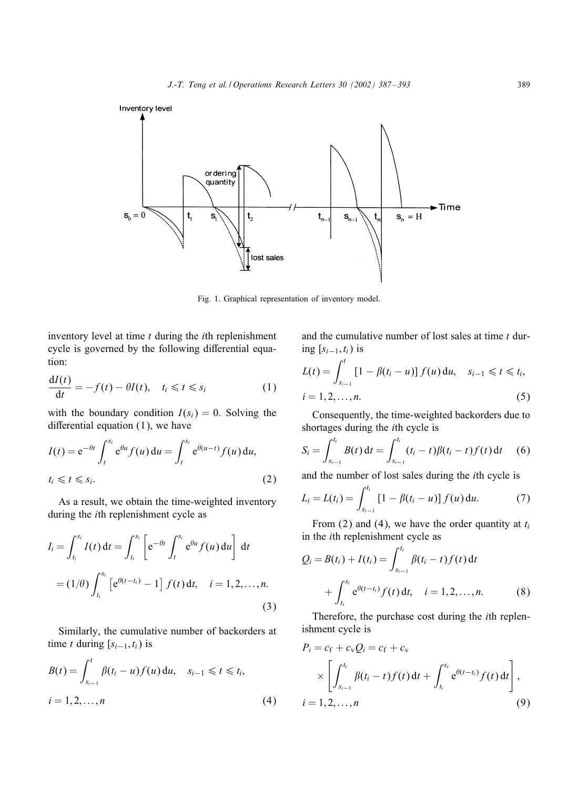

Fig. 1. Graphical representation of inventory model.

inventory level at time  $t$  during the  $i$ th replenishment cycle is governed by the following differential equation:

$$
\frac{dI(t)}{dt} = -f(t) - \theta I(t), \quad t_i \leq t \leq s_i \tag{1}
$$

with the boundary condition  $I(s_i) = 0$ . Solving the differential equation  $(1)$ , we have

$$
I(t) = e^{-\theta t} \int_{t}^{s_i} e^{\theta u} f(u) du = \int_{t}^{s_i} e^{\theta(u-t)} f(u) du,
$$
  

$$
t_i \leq t \leq s_i.
$$
 (2)

As a result, we obtain the time-weighted inventory during the ith replenishment cycle as

$$
I_{i} = \int_{t_{i}}^{s_{i}} I(t) dt = \int_{t_{i}}^{s_{i}} \left[ e^{-\theta t} \int_{t}^{s_{i}} e^{\theta u} f(u) du \right] dt
$$
  
=  $(1/\theta) \int_{t_{i}}^{s_{i}} \left[ e^{\theta (t-t_{i})} - 1 \right] f(t) dt, \quad i = 1, 2, ..., n.$  (3)

Similarly, the cumulative number of backorders at time t during  $[s_{i-1}, t_i)$  is

$$
B(t) = \int_{s_{i-1}}^{t} \beta(t_i - u) f(u) \, du, \quad s_{i-1} \leq t \leq t_i, i = 1, 2, ..., n
$$
 (4)

and the cumulative number of lost sales at time  $t$  during  $[s_{i-1}, t_i)$  is

$$
L(t) = \int_{s_{i-1}}^{t} [1 - \beta(t_i - u)] f(u) du, \quad s_{i-1} \leq t \leq t_i,
$$
  
\n
$$
i = 1, 2, ..., n.
$$
\n(5)

Consequently, the time-weighted backorders due to shortages during the ith cycle is

$$
S_i = \int_{s_{i-1}}^{t_i} B(t) dt = \int_{s_{i-1}}^{t_i} (t_i - t) \beta(t_i - t) f(t) dt \quad (6)
$$

and the number of lost sales during the ith cycle is

$$
L_i = L(t_i) = \int_{s_{i-1}}^{t_i} [1 - \beta(t_i - u)] f(u) \, du. \tag{7}
$$

From (2) and (4), we have the order quantity at  $t_i$ in the ith replenishment cycle as

$$
Q_i = B(t_i) + I(t_i) = \int_{s_{i-1}}^{t_i} \beta(t_i - t) f(t) dt
$$
  
+ 
$$
\int_{t_i}^{s_i} e^{\theta(t - t_i)} f(t) dt, \quad i = 1, 2, ..., n.
$$
 (8)

Therefore, the purchase cost during the ith replenishment cycle is

$$
P_i = c_f + c_v Q_i = c_f + c_v
$$
  
 
$$
\times \left[ \int_{s_{i-1}}^{t_i} \beta(t_i - t) f(t) dt + \int_{t_i}^{s_i} e^{\theta(t - t_i)} f(t) dt \right],
$$
  
\n
$$
i = 1, 2, ..., n
$$
 (9)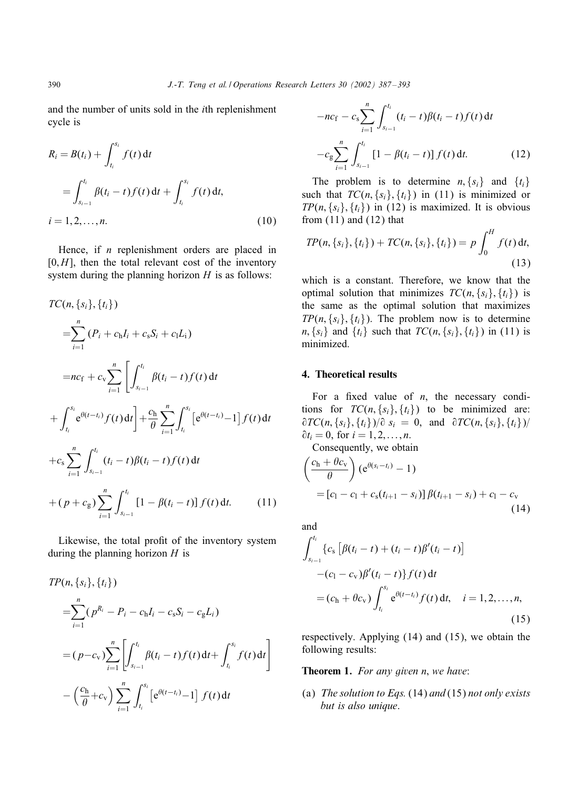and the number of units sold in the ith replenishment cycle is

$$
R_i = B(t_i) + \int_{t_i}^{s_i} f(t) dt
$$
  
= 
$$
\int_{s_{i-1}}^{t_i} \beta(t_i - t) f(t) dt + \int_{t_i}^{s_i} f(t) dt,
$$
  
 $i = 1, 2, ..., n.$  (10)

Hence, if *n* replenishment orders are placed in  $[0, H]$ , then the total relevant cost of the inventory system during the planning horizon  $H$  is as follows:

$$
TC(n, \{s_i\}, \{t_i\})
$$
\n
$$
= \sum_{i=1}^n (P_i + c_h I_i + c_s S_i + c_l L_i)
$$
\n
$$
= nc_f + c_v \sum_{i=1}^n \left[ \int_{s_{i-1}}^{t_i} \beta(t_i - t) f(t) dt + \int_{t_i}^{s_i} e^{\theta(t - t_i)} f(t) dt \right] + \frac{c_h}{\theta} \sum_{i=1}^n \int_{t_i}^{s_i} \left[ e^{\theta(t - t_i)} - 1 \right] f(t) dt
$$
\n
$$
+ c_s \sum_{i=1}^n \int_{s_{i-1}}^{t_i} (t_i - t) \beta(t_i - t) f(t) dt + (p + c_g) \sum_{i=1}^n \int_{s_{i-1}}^{t_i} \left[ 1 - \beta(t_i - t) \right] f(t) dt. \tag{11}
$$

Likewise, the total profit of the inventory system during the planning horizon  $H$  is

$$
TP(n, \{s_i\}, \{t_i\})
$$
  
=
$$
\sum_{i=1}^{n} (p^{R_i} - P_i - c_h I_i - c_s S_i - c_g L_i)
$$
  
=
$$
(p - c_v) \sum_{i=1}^{n} \left[ \int_{s_{i-1}}^{t_i} \beta(t_i - t) f(t) dt + \int_{t_i}^{s_i} f(t) dt \right]
$$
  

$$
- \left( \frac{c_h}{\theta} + c_v \right) \sum_{i=1}^{n} \int_{t_i}^{s_i} \left[ e^{\theta(t - t_i)} - 1 \right] f(t) dt
$$

$$
-nc_{\rm f} - c_{\rm s} \sum_{i=1}^{n} \int_{s_{i-1}}^{t_i} (t_i - t) \beta(t_i - t) f(t) dt
$$

$$
-c_{\rm g} \sum_{i=1}^{n} \int_{s_{i-1}}^{t_i} [1 - \beta(t_i - t)] f(t) dt.
$$
(12)

The problem is to determine  $n, \{s_i\}$  and  $\{t_i\}$ such that  $TC(n, \{s_i\}, \{t_i\})$  in (11) is minimized or  $TP(n, \{s_i\}, \{t_i\})$  in (12) is maximized. It is obvious from  $(11)$  and  $(12)$  that

$$
TP(n, \{s_i\}, \{t_i\}) + TC(n, \{s_i\}, \{t_i\}) = p \int_0^H f(t) dt,
$$
\n(13)

which is a constant. Therefore, we know that the optimal solution that minimizes  $TC(n, \{s_i\}, \{t_i\})$  is the same as the optimal solution that maximizes  $TP(n, \{s_i\}, \{t_i\})$ . The problem now is to determine  $n, \{s_i\}$  and  $\{t_i\}$  such that  $TC(n, \{s_i\}, \{t_i\})$  in (11) is minimized.

# 4. Theoretical results

For a fixed value of  $n$ , the necessary conditions for  $TC(n, \{s_i\}, \{t_i\})$  to be minimized are:  $\frac{\partial TC(n, \{s_i\}, \{t_i\})}{\partial s_i} = 0$ , and  $\frac{\partial TC(n, \{s_i\}, \{t_i\})}{\partial s_i}$  $\partial t_i = 0$ , for  $i = 1, 2, \ldots, n$ .

Consequently, we obtain

$$
\left(\frac{c_{h} + \theta c_{v}}{\theta}\right) \left(e^{\theta(s_{i} - t_{i})} - 1\right)
$$
\n
$$
= [c_{1} - c_{1} + c_{s}(t_{i+1} - s_{i})] \beta(t_{i+1} - s_{i}) + c_{1} - c_{v}
$$
\n(14)

and

$$
\int_{s_{i-1}}^{t_i} \{c_s \left[\beta(t_i - t) + (t_i - t)\beta'(t_i - t)\right] - (c_1 - c_v)\beta'(t_i - t)\} f(t) dt
$$
\n
$$
= (c_h + \theta c_v) \int_{t_i}^{s_i} e^{\theta(t - t_i)} f(t) dt, \quad i = 1, 2, ..., n,
$$
\n(15)

respectively. Applying (14) and (15), we obtain the following results:

Theorem 1. *For any given* n; *we have*:

(a) *The solution to Eqs.* (14) *and* (15) *not only exists but is also unique*.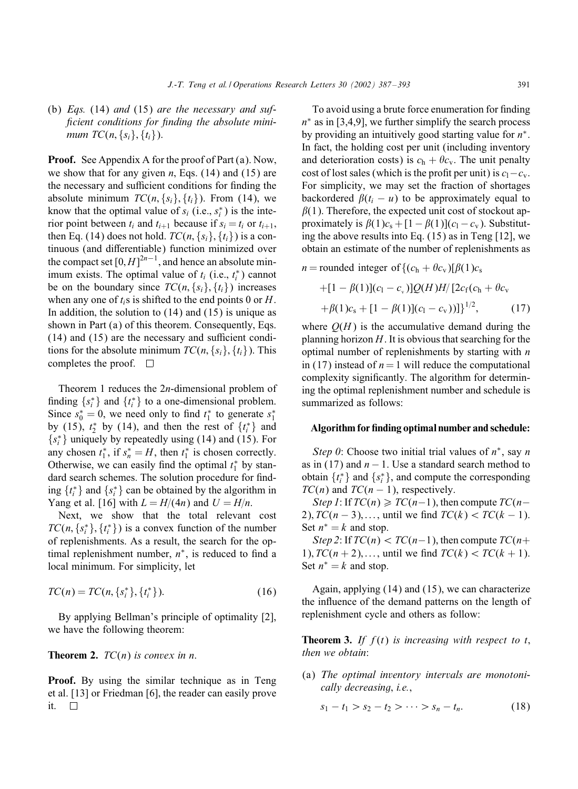# (b) *Eqs.* (14) *and* (15) *are the necessary and suf* ficient conditions for finding the absolute mini*mum*  $TC(n, \{s_i\}, \{t_i\})$ .

Proof. See Appendix A for the proof of Part (a). Now, we show that for any given *n*, Eqs.  $(14)$  and  $(15)$  are the necessary and sufficient conditions for finding the absolute minimum  $TC(n, \{s_i\}, \{t_i\})$ . From (14), we know that the optimal value of  $s_i$  (i.e.,  $s_i^*$ ) is the interior point between  $t_i$  and  $t_{i+1}$  because if  $s_i = t_i$  or  $t_{i+1}$ , then Eq. (14) does not hold.  $TC(n, \{s_i\}, \{t_i\})$  is a continuous (and differentiable) function minimized over the compact set  $[0, H]^{2n-1}$ , and hence an absolute minimum exists. The optimal value of  $t_i$  (i.e.,  $t_i^*$ ) cannot be on the boundary since  $TC(n, \{s_i\}, \{t_i\})$  increases when any one of  $t_i$ s is shifted to the end points 0 or H. In addition, the solution to  $(14)$  and  $(15)$  is unique as shown in Part (a) of this theorem. Consequently, Eqs.  $(14)$  and  $(15)$  are the necessary and sufficient conditions for the absolute minimum  $TC(n, \{s_i\}, \{t_i\})$ . This completes the proof.  $\square$ 

Theorem 1 reduces the 2n-dimensional problem of finding  $\{s_i^*\}$  and  $\{t_i^*\}$  to a one-dimensional problem. Since  $s_0^* = 0$ , we need only to find  $t_1^*$  to generate  $s_1^*$ by (15),  $t_2^*$  by (14), and then the rest of  $\{t_i^*\}$  and  ${s_i^*}$  uniquely by repeatedly using (14) and (15). For any chosen  $t_1^*$ , if  $s_n^* = H$ , then  $t_1^*$  is chosen correctly. Otherwise, we can easily find the optimal  $t_1^*$  by standard search schemes. The solution procedure for finding  $\{t_i^*\}$  and  $\{s_i^*\}$  can be obtained by the algorithm in Yang et al. [16] with  $L = H/(4n)$  and  $U = H/n$ .

Next, we show that the total relevant cost  $TC(n, \{s_i^*\}, \{t_i^*\})$  is a convex function of the number of replenishments. As a result, the search for the optimal replenishment number,  $n^*$ , is reduced to find a local minimum. For simplicity, let

$$
TC(n) = TC(n, \{s_i^*\}, \{t_i^*\}).
$$
\n(16)

By applying Bellman's principle of optimality [2], we have the following theorem:

# **Theorem 2.**  $TC(n)$  is convex in n.

Proof. By using the similar technique as in Teng et al.  $[13]$  or Friedman  $[6]$ , the reader can easily prove it.  $\Box$ 

To avoid using a brute force enumeration for finding  $n<sup>*</sup>$  as in [3,4,9], we further simplify the search process by providing an intuitively good starting value for  $n^*$ . In fact, the holding cost per unit (including inventory and deterioration costs) is  $c_h + \theta c_v$ . The unit penalty cost of lost sales (which is the profit per unit) is  $c_1 - c_v$ . For simplicity, we may set the fraction of shortages backordered  $\beta(t_i - u)$  to be approximately equal to  $\beta(1)$ . Therefore, the expected unit cost of stockout approximately is  $\beta(1)c_s + [1-\beta(1)](c_1-c_v)$ . Substituting the above results into Eq. (15) as in Teng [12], we obtain an estimate of the number of replenishments as

 $n =$  rounded integer of  $\{(c_h + \theta c_v) | \beta(1)c_s\}$ 

+
$$
[1 - \beta(1)](c_1 - c_v)]Q(H)H/[2c_f(c_h + \theta c_v
$$
  
+ $\beta(1)c_s + [1 - \beta(1)](c_1 - c_v))]^{1/2}$ , (17)

where  $O(H)$  is the accumulative demand during the planning horizon  $H$ . It is obvious that searching for the optimal number of replenishments by starting with  $n$ in (17) instead of  $n = 1$  will reduce the computational complexity significantly. The algorithm for determining the optimal replenishment number and schedule is summarized as follows:

#### Algorithm for finding optimal number and schedule:

*Step 0*: Choose two initial trial values of  $n$ <sup>\*</sup>, say *n* as in (17) and  $n - 1$ . Use a standard search method to obtain  $\{t_i^*\}$  and  $\{s_i^*\}$ , and compute the corresponding  $TC(n)$  and  $TC(n - 1)$ , respectively.

*Step 1*: If  $TC(n) \geq TC(n-1)$ , then compute  $TC(n-1)$ 2),  $TC(n-3), \ldots$ , until we find  $TC(k) < TC(k-1)$ . Set  $n^* = k$  and stop.

*Step 2*: If  $TC(n) < TC(n-1)$ , then compute  $TC(n+1)$ 1),  $TC(n + 2), \ldots$ , until we find  $TC(k) < TC(k + 1)$ . Set  $n^* = k$  and stop.

Again, applying (14) and (15), we can characterize the inFuence of the demand patterns on the length of replenishment cycle and others as follow:

**Theorem 3.** If  $f(t)$  is increasing with respect to t, *then we obtain*:

(a) *The optimal inventory intervals are monotonically decreasing*; *i.e.*;

$$
s_1 - t_1 > s_2 - t_2 > \cdots > s_n - t_n. \tag{18}
$$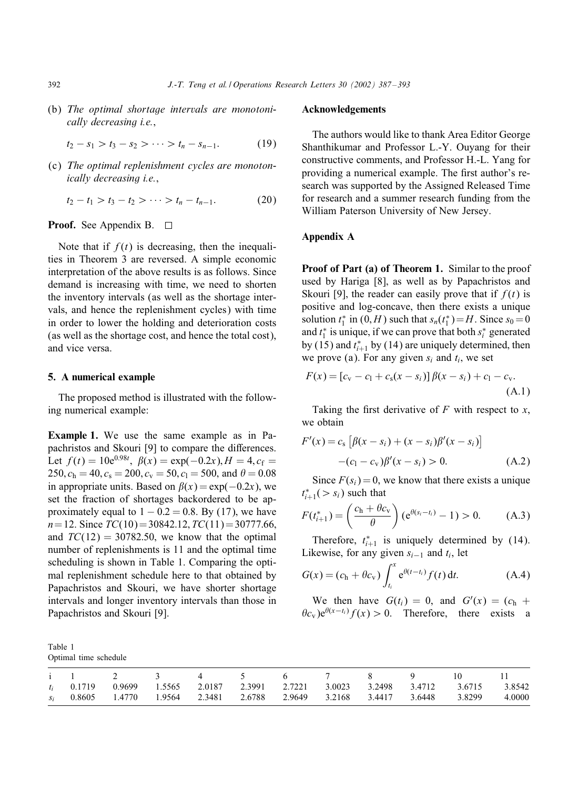(b) *The optimal shortage intervals are monotonically decreasing i.e.*;

$$
t_2 - s_1 > t_3 - s_2 > \cdots > t_n - s_{n-1}.
$$
 (19)

(c) *The optimal replenishment cycles are monotonically decreasing i.e.*;

$$
t_2 - t_1 > t_3 - t_2 > \cdots > t_n - t_{n-1}.
$$
 (20)

#### **Proof.** See Appendix B.  $\Box$

Note that if  $f(t)$  is decreasing, then the inequalities in Theorem 3 are reversed. A simple economic interpretation of the above results is as follows. Since demand is increasing with time, we need to shorten the inventory intervals (as well as the shortage intervals, and hence the replenishment cycles) with time in order to lower the holding and deterioration costs (as well as the shortage cost, and hence the total cost), and vice versa.

# 5. A numerical example

The proposed method is illustrated with the following numerical example:

Example 1. We use the same example as in Papachristos and Skouri [9] to compare the differences. Let  $f(t) = 10e^{0.98t}$ ,  $\beta(x) = \exp(-0.2x)$ ,  $H = 4$ ,  $c_f =$ 250,  $c_h = 40$ ,  $c_s = 200$ ,  $c_v = 50$ ,  $c_l = 500$ , and  $\theta = 0.08$ in appropriate units. Based on  $\beta(x) = \exp(-0.2x)$ , we set the fraction of shortages backordered to be approximately equal to  $1 - 0.2 = 0.8$ . By (17), we have  $n= 12$ . Since  $TC(10)= 30842.12$ ,  $TC(11)= 30777.66$ , and  $TC(12) = 30782.50$ , we know that the optimal number of replenishments is 11 and the optimal time scheduling is shown in Table 1. Comparing the optimal replenishment schedule here to that obtained by Papachristos and Skouri, we have shorter shortage intervals and longer inventory intervals than those in Papachristos and Skouri [9].

| ------- |                       |
|---------|-----------------------|
|         | Optimal time schedule |

Table 1

#### Acknowledgements

The authors would like to thank Area Editor George Shanthikumar and Professor L.-Y. Ouyang for their constructive comments, and Professor H.-L. Yang for providing a numerical example. The first author's research was supported by the Assigned Released Time for research and a summer research funding from the William Paterson University of New Jersey.

## AppendixA

Proof of Part (a) of Theorem 1. Similar to the proof used by Hariga [8], as well as by Papachristos and Skouri [9], the reader can easily prove that if  $f(t)$  is positive and log-concave; then there exists a unique solution  $t_1^*$  in  $(0, H)$  such that  $s_n(t_1^*) = H$ . Since  $s_0 = 0$ and  $t_1^*$  is unique, if we can prove that both  $s_i^*$  generated by (15) and  $t_{i+1}^*$  by (14) are uniquely determined, then we prove (a). For any given  $s_i$  and  $t_i$ , we set

$$
F(x) = [c_v - c_1 + c_s(x - s_i)] \beta(x - s_i) + c_1 - c_v.
$$
\n(A.1)

Taking the first derivative of F with respect to x, we obtain

$$
F'(x) = c_s \left[ \beta(x - s_i) + (x - s_i) \beta'(x - s_i) \right]
$$
  
-(c<sub>1</sub> - c<sub>v</sub>) $\beta'(x - s_i) > 0$ . (A.2)

Since  $F(s_i) = 0$ , we know that there exists a unique  $t_{i+1}^*(> s_i)$  such that

$$
F(t_{i+1}^*) = \left(\frac{c_h + \theta c_v}{\theta}\right) \left(e^{\theta(s_i - t_i)} - 1\right) > 0. \tag{A.3}
$$

Therefore,  $t_{i+1}^*$  is uniquely determined by (14). Likewise, for any given  $s_{i-1}$  and  $t_i$ , let

$$
G(x) = (c_h + \theta c_v) \int_{t_i}^{x} e^{\theta(t - t_i)} f(t) dt.
$$
 (A.4)

We then have  $G(t_i) = 0$ , and  $G'(x) = (c_h +$  $\theta c_v$ )e<sup> $\theta(x-t_i) f(x) > 0$ . Therefore, there exists a</sup>

|  |  |  |  |  | i 1 2 3 4 5 6 7 8 9 10 11                                                                   |        |
|--|--|--|--|--|---------------------------------------------------------------------------------------------|--------|
|  |  |  |  |  | t <sub>i</sub> 0.1719 0.9699 1.5565 2.0187 2.3991 2.7221 3.0023 3.2498 3.4712 3.6715 3.8542 |        |
|  |  |  |  |  | $s_i$ 0.8605 1.4770 1.9564 2.3481 2.6788 2.9649 3.2168 3.4417 3.6448 3.8299                 | 4.0000 |